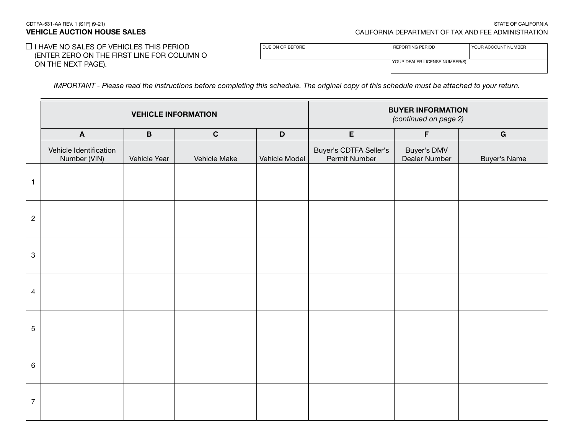#### CDTFA-531-AA REV. 1 (S1F) (9-21) STATE OF CALIFORNIA VEHICLE AUCTION HOUSE SALES CALIFORNIA DEPARTMENT OF TAX AND FEE ADMINISTRATION

# $\Box$  I HAVE NO SALES OF VEHICLES THIS PERIOD (ENTER ZERO ON THE FIRST LINE FOR COLUMN O ON THE NEXT PAGE).

| DUE ON OR BEFORE | REPORTING PERIOD              | YOUR ACCOUNT NUMBER |
|------------------|-------------------------------|---------------------|
|                  |                               |                     |
|                  | YOUR DEALER LICENSE NUMBER(S) |                     |

*IMPORTANT - Please read the instructions before completing this schedule. The original copy of this schedule must be attached to your return.*

|                | <b>VEHICLE INFORMATION</b>             |              |              |               | <b>BUYER INFORMATION</b><br>(continued on page 2) |                              |                     |  |
|----------------|----------------------------------------|--------------|--------------|---------------|---------------------------------------------------|------------------------------|---------------------|--|
|                | $\boldsymbol{\mathsf{A}}$              | $\, {\bf B}$ | $\mathbf C$  | $\mathbf D$   | E                                                 | $\mathsf F$                  | $\bf G$             |  |
|                | Vehicle Identification<br>Number (VIN) | Vehicle Year | Vehicle Make | Vehicle Model | Buyer's CDTFA Seller's<br>Permit Number           | Buyer's DMV<br>Dealer Number | <b>Buyer's Name</b> |  |
| $\mathbf{1}$   |                                        |              |              |               |                                                   |                              |                     |  |
| $\overline{c}$ |                                        |              |              |               |                                                   |                              |                     |  |
| $\mathbf 3$    |                                        |              |              |               |                                                   |                              |                     |  |
| 4              |                                        |              |              |               |                                                   |                              |                     |  |
| 5              |                                        |              |              |               |                                                   |                              |                     |  |
| 6              |                                        |              |              |               |                                                   |                              |                     |  |
| $\overline{7}$ |                                        |              |              |               |                                                   |                              |                     |  |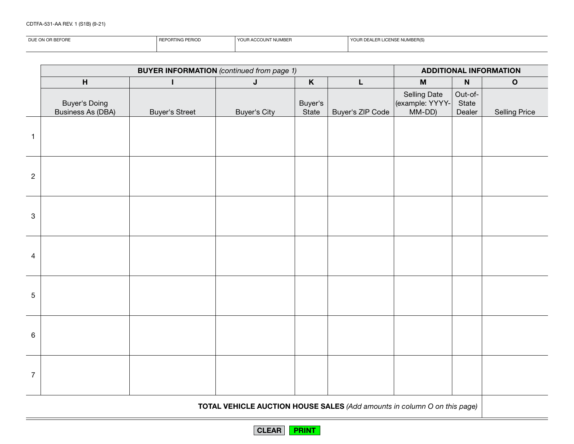CDTFA-531-AA REV. 1 (S1B) (9-21)

| DUE ON | REI<br>. ORTING PET<br>:RIUL | 'T NUMBER<br>YOUF<br>3 ACCOUNT | <b>F NUMBER(S.</b><br>$\sim$<br>ICENSE<br>I E A E H |  |  |
|--------|------------------------------|--------------------------------|-----------------------------------------------------|--|--|
|        |                              |                                |                                                     |  |  |

|                |                                           | <b>BUYER INFORMATION</b> (continued from page 1) |                     |                  | <b>ADDITIONAL INFORMATION</b> |                                              |                            |                      |
|----------------|-------------------------------------------|--------------------------------------------------|---------------------|------------------|-------------------------------|----------------------------------------------|----------------------------|----------------------|
|                | $\boldsymbol{\mathsf{H}}$                 | I                                                | $\mathsf J$         | $\mathsf K$      | L                             | $\boldsymbol{\mathsf{M}}$                    | $\boldsymbol{\mathsf{N}}$  | $\mathbf O$          |
|                | Buyer's Doing<br><b>Business As (DBA)</b> | <b>Buyer's Street</b>                            | <b>Buyer's City</b> | Buyer's<br>State | Buyer's ZIP Code              | Selling Date<br>(example: YYYY-<br>$M-M-DD)$ | Out-of-<br>State<br>Dealer | <b>Selling Price</b> |
| $\mathbf{1}$   |                                           |                                                  |                     |                  |                               |                                              |                            |                      |
| $\overline{c}$ |                                           |                                                  |                     |                  |                               |                                              |                            |                      |
| $\mathbf{3}$   |                                           |                                                  |                     |                  |                               |                                              |                            |                      |
| 4              |                                           |                                                  |                     |                  |                               |                                              |                            |                      |
| 5              |                                           |                                                  |                     |                  |                               |                                              |                            |                      |
| 6              |                                           |                                                  |                     |                  |                               |                                              |                            |                      |
| $\overline{7}$ |                                           |                                                  |                     |                  |                               |                                              |                            |                      |

TOTAL VEHICLE AUCTION HOUSE SALES *(Add amounts in column O on this page)*